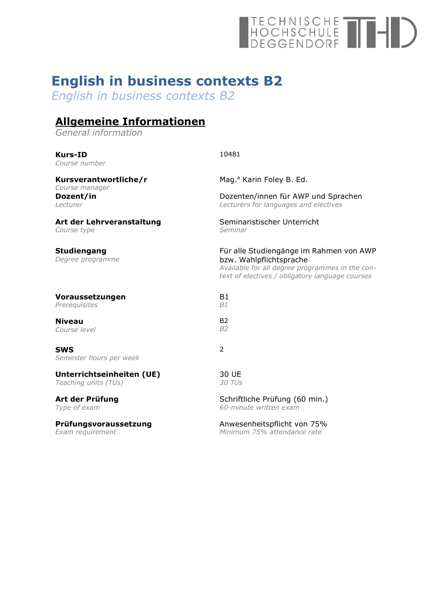# TECHNISCHE<br>HOCHSCHULE<br>DEGGENDORF

# **English in business contexts B2**

*English in business contexts B2*

# **Allgemeine Informationen**

*General information*

| <b>Kurs-ID</b><br>Course number         | 10481                                                                                                                                                                    |
|-----------------------------------------|--------------------------------------------------------------------------------------------------------------------------------------------------------------------------|
| Kursverantwortliche/r                   | Mag. <sup>a</sup> Karin Foley B. Ed.                                                                                                                                     |
| Course manager<br>Dozent/in<br>Lecturer | Dozenten/innen für AWP und Sprachen<br>Lecturers for languages and electives                                                                                             |
| Art der Lehrveranstaltung               | Seminaristischer Unterricht                                                                                                                                              |
| Course type                             | Seminar                                                                                                                                                                  |
| <b>Studiengang</b><br>Degree programme  | Für alle Studiengänge im Rahmen von AWP<br>bzw. Wahlpflichtsprache<br>Available for all degree programmes in the con-<br>text of electives / obligatory language courses |
| Voraussetzungen                         | <b>B1</b>                                                                                                                                                                |
| Prerequisites                           | B1                                                                                                                                                                       |
| <b>Niveau</b>                           | <b>B2</b>                                                                                                                                                                |
| Course level                            | B <sub>2</sub>                                                                                                                                                           |
| <b>SWS</b><br>Semester hours per week   | 2                                                                                                                                                                        |
| Unterrichtseinheiten (UE)               | 30 UE                                                                                                                                                                    |
| Teaching units (TUs)                    | 30 TUs                                                                                                                                                                   |
| Art der Prüfung                         | Schriftliche Prüfung (60 min.)                                                                                                                                           |
| Type of exam                            | 60-minute written exam                                                                                                                                                   |
| Prüfungsvoraussetzung                   | Anwesenheitspflicht von 75%                                                                                                                                              |
| Exam requirement                        | Minimum 75% attendance rate                                                                                                                                              |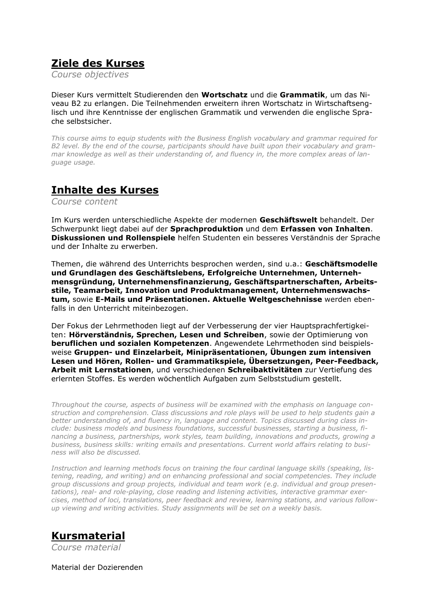## **Ziele des Kurses**

*Course objectives*

Dieser Kurs vermittelt Studierenden den **Wortschatz** und die **Grammatik**, um das Niveau B2 zu erlangen. Die Teilnehmenden erweitern ihren Wortschatz in Wirtschaftsenglisch und ihre Kenntnisse der englischen Grammatik und verwenden die englische Sprache selbstsicher.

*This course aims to equip students with the Business English vocabulary and grammar required for B2 level. By the end of the course, participants should have built upon their vocabulary and grammar knowledge as well as their understanding of, and fluency in, the more complex areas of language usage.*

#### **Inhalte des Kurses**

*Course content*

Im Kurs werden unterschiedliche Aspekte der modernen **Geschäftswelt** behandelt. Der Schwerpunkt liegt dabei auf der **Sprachproduktion** und dem **Erfassen von Inhalten**. **Diskussionen und Rollenspiele** helfen Studenten ein besseres Verständnis der Sprache und der Inhalte zu erwerben.

Themen, die während des Unterrichts besprochen werden, sind u.a.: **Geschäftsmodelle und Grundlagen des Geschäftslebens, Erfolgreiche Unternehmen, Unternehmensgründung, Unternehmensfinanzierung, Geschäftspartnerschaften, Arbeitsstile, Teamarbeit, Innovation und Produktmanagement, Unternehmenswachstum,** sowie **E-Mails und Präsentationen. Aktuelle Weltgeschehnisse** werden ebenfalls in den Unterricht miteinbezogen.

Der Fokus der Lehrmethoden liegt auf der Verbesserung der vier Hauptsprachfertigkeiten: **Hörverständnis, Sprechen, Lesen und Schreiben**, sowie der Optimierung von **beruflichen und sozialen Kompetenzen**. Angewendete Lehrmethoden sind beispielsweise **Gruppen- und Einzelarbeit, Minipräsentationen, Übungen zum intensiven Lesen und Hören, Rollen- und Grammatikspiele, Übersetzungen, Peer-Feedback, Arbeit mit Lernstationen**, und verschiedenen **Schreibaktivitäten** zur Vertiefung des erlernten Stoffes. Es werden wöchentlich Aufgaben zum Selbststudium gestellt.

*Throughout the course, aspects of business will be examined with the emphasis on language construction and comprehension. Class discussions and role plays will be used to help students gain a better understanding of, and fluency in, language and content. Topics discussed during class include: business models and business foundations, successful businesses, starting a business, financing a business, partnerships, work styles, team building, innovations and products, growing a business, business skills: writing emails and presentations. Current world affairs relating to business will also be discussed.*

*Instruction and learning methods focus on training the four cardinal language skills (speaking, listening, reading, and writing) and on enhancing professional and social competencies. They include group discussions and group projects, individual and team work (e.g. individual and group presentations), real- and role-playing, close reading and listening activities, interactive grammar exercises, method of loci, translations, peer feedback and review, learning stations, and various followup viewing and writing activities. Study assignments will be set on a weekly basis.* 

# **Kursmaterial**

*Course material*

Material der Dozierenden